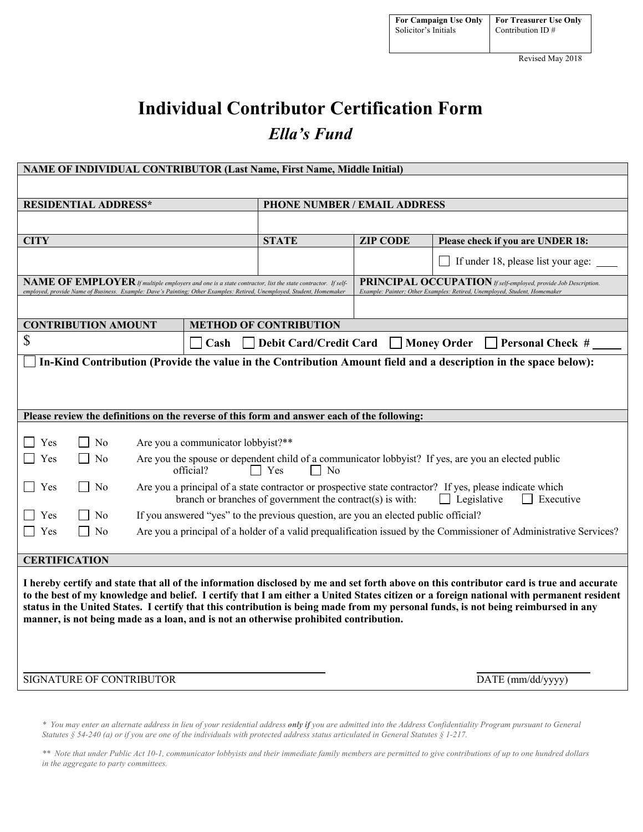Revised May 2018

# **Individual Contributor Certification Form** *Ella's Fund*

| NAME OF INDIVIDUAL CONTRIBUTOR (Last Name, First Name, Middle Initial)                                                                                                                                                                                                                                                                                                                                                                                                                                              |                                                                                     |                                                                                                                                              |                                    |  |
|---------------------------------------------------------------------------------------------------------------------------------------------------------------------------------------------------------------------------------------------------------------------------------------------------------------------------------------------------------------------------------------------------------------------------------------------------------------------------------------------------------------------|-------------------------------------------------------------------------------------|----------------------------------------------------------------------------------------------------------------------------------------------|------------------------------------|--|
|                                                                                                                                                                                                                                                                                                                                                                                                                                                                                                                     |                                                                                     |                                                                                                                                              |                                    |  |
| <b>RESIDENTIAL ADDRESS*</b>                                                                                                                                                                                                                                                                                                                                                                                                                                                                                         | PHONE NUMBER / EMAIL ADDRESS                                                        |                                                                                                                                              |                                    |  |
|                                                                                                                                                                                                                                                                                                                                                                                                                                                                                                                     |                                                                                     |                                                                                                                                              |                                    |  |
| <b>CITY</b>                                                                                                                                                                                                                                                                                                                                                                                                                                                                                                         | <b>STATE</b>                                                                        | <b>ZIP CODE</b>                                                                                                                              | Please check if you are UNDER 18:  |  |
|                                                                                                                                                                                                                                                                                                                                                                                                                                                                                                                     |                                                                                     |                                                                                                                                              | If under 18, please list your age: |  |
| NAME OF EMPLOYER If multiple employers and one is a state contractor, list the state contractor. If self-<br>emploved, provide Name of Business, Example: Dave's Painting: Other Examples: Retired, Unemploved, Student, Homemaker                                                                                                                                                                                                                                                                                  |                                                                                     | PRINCIPAL OCCUPATION If self-employed, provide Job Description.<br>Example: Painter; Other Examples: Retired, Unemployed, Student, Homemaker |                                    |  |
|                                                                                                                                                                                                                                                                                                                                                                                                                                                                                                                     |                                                                                     |                                                                                                                                              |                                    |  |
| <b>CONTRIBUTION AMOUNT</b>                                                                                                                                                                                                                                                                                                                                                                                                                                                                                          | <b>METHOD OF CONTRIBUTION</b>                                                       |                                                                                                                                              |                                    |  |
| \$<br><b>Debit Card/Credit Card</b><br><b>Money Order</b><br>Cash<br>$\Box$ Personal Check #                                                                                                                                                                                                                                                                                                                                                                                                                        |                                                                                     |                                                                                                                                              |                                    |  |
| In-Kind Contribution (Provide the value in the Contribution Amount field and a description in the space below):                                                                                                                                                                                                                                                                                                                                                                                                     |                                                                                     |                                                                                                                                              |                                    |  |
|                                                                                                                                                                                                                                                                                                                                                                                                                                                                                                                     |                                                                                     |                                                                                                                                              |                                    |  |
|                                                                                                                                                                                                                                                                                                                                                                                                                                                                                                                     |                                                                                     |                                                                                                                                              |                                    |  |
| Please review the definitions on the reverse of this form and answer each of the following:                                                                                                                                                                                                                                                                                                                                                                                                                         |                                                                                     |                                                                                                                                              |                                    |  |
| $\Box$ Yes<br>  No<br>Are you a communicator lobbyist?**                                                                                                                                                                                                                                                                                                                                                                                                                                                            |                                                                                     |                                                                                                                                              |                                    |  |
| Yes<br>No<br>Are you the spouse or dependent child of a communicator lobbyist? If yes, are you an elected public<br>official?<br>$\Box$ Yes<br>N <sub>o</sub>                                                                                                                                                                                                                                                                                                                                                       |                                                                                     |                                                                                                                                              |                                    |  |
| Are you a principal of a state contractor or prospective state contractor? If yes, please indicate which<br>Yes<br>N <sub>0</sub><br>$\overline{\phantom{a}}$<br>branch or branches of government the contract(s) is with:<br>$\Box$ Legislative<br>$\Box$ Executive                                                                                                                                                                                                                                                |                                                                                     |                                                                                                                                              |                                    |  |
| Yes<br>N <sub>0</sub>                                                                                                                                                                                                                                                                                                                                                                                                                                                                                               | If you answered "yes" to the previous question, are you an elected public official? |                                                                                                                                              |                                    |  |
| Yes<br>$\Box$ No<br>Are you a principal of a holder of a valid prequalification issued by the Commissioner of Administrative Services?                                                                                                                                                                                                                                                                                                                                                                              |                                                                                     |                                                                                                                                              |                                    |  |
| <b>CERTIFICATION</b>                                                                                                                                                                                                                                                                                                                                                                                                                                                                                                |                                                                                     |                                                                                                                                              |                                    |  |
| I hereby certify and state that all of the information disclosed by me and set forth above on this contributor card is true and accurate<br>to the best of my knowledge and belief. I certify that I am either a United States citizen or a foreign national with permanent resident<br>status in the United States. I certify that this contribution is being made from my personal funds, is not being reimbursed in any<br>manner, is not being made as a loan, and is not an otherwise prohibited contribution. |                                                                                     |                                                                                                                                              |                                    |  |
| SIGNATURE OF CONTRIBUTOR                                                                                                                                                                                                                                                                                                                                                                                                                                                                                            |                                                                                     | DATE (mm/dd/yyyy)                                                                                                                            |                                    |  |
|                                                                                                                                                                                                                                                                                                                                                                                                                                                                                                                     |                                                                                     |                                                                                                                                              |                                    |  |

*\* You may enter an alternate address in lieu of your residential address only if you are admitted into the Address Confidentiality Program pursuant to General Statutes § 54-240 (a) or if you are one of the individuals with protected address status articulated in General Statutes § 1-217.*

*\*\* Note that under Public Act 10-1, communicator lobbyists and their immediate family members are permitted to give contributions of up to one hundred dollars in the aggregate to party committees.*